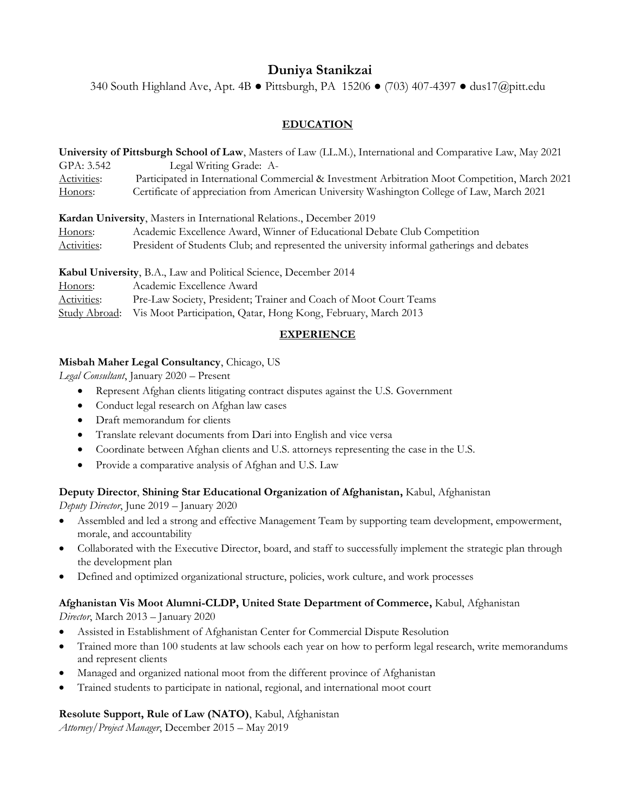# **Duniya Stanikzai**

340 South Highland Ave, Apt. 4B ● Pittsburgh, PA 15206 ● (703) 407-4397 ● dus17@pitt.edu

# **EDUCATION**

| University of Pittsburgh School of Law, Masters of Law (LL.M.), International and Comparative Law, May 2021 |                                                                                                |
|-------------------------------------------------------------------------------------------------------------|------------------------------------------------------------------------------------------------|
| GPA: 3.542                                                                                                  | Legal Writing Grade: A-                                                                        |
| Activities:                                                                                                 | Participated in International Commercial & Investment Arbitration Moot Competition, March 2021 |
| Honors:                                                                                                     | Certificate of appreciation from American University Washington College of Law, March 2021     |

**Kardan University**, Masters in International Relations., December 2019

Honors: Academic Excellence Award, Winner of Educational Debate Club Competition Activities: President of Students Club; and represented the university informal gatherings and debates

**Kabul University**, B.A., Law and Political Science, December 2014

Honors: Academic Excellence Award

Activities: Pre-Law Society, President; Trainer and Coach of Moot Court Teams Study Abroad: Vis Moot Participation, Qatar, Hong Kong, February, March 2013

## **EXPERIENCE**

### **Misbah Maher Legal Consultancy**, Chicago, US

*Legal Consultant*, January 2020 – Present

- Represent Afghan clients litigating contract disputes against the U.S. Government
- Conduct legal research on Afghan law cases
- Draft memorandum for clients
- Translate relevant documents from Dari into English and vice versa
- Coordinate between Afghan clients and U.S. attorneys representing the case in the U.S.
- Provide a comparative analysis of Afghan and U.S. Law

### **Deputy Director**, **Shining Star Educational Organization of Afghanistan,** Kabul, Afghanistan

*Deputy Director*, June 2019 – January 2020

- Assembled and led a strong and effective Management Team by supporting team development, empowerment, morale, and accountability
- Collaborated with the Executive Director, board, and staff to successfully implement the strategic plan through the development plan
- Defined and optimized organizational structure, policies, work culture, and work processes

# **Afghanistan Vis Moot Alumni-CLDP, United State Department of Commerce,** Kabul, Afghanistan

*Director*, March 2013 – January 2020

- Assisted in Establishment of Afghanistan Center for Commercial Dispute Resolution
- Trained more than 100 students at law schools each year on how to perform legal research, write memorandums and represent clients
- Managed and organized national moot from the different province of Afghanistan
- Trained students to participate in national, regional, and international moot court

# **Resolute Support, Rule of Law (NATO)**, Kabul, Afghanistan

*Attorney/Project Manager*, December 2015 – May 2019